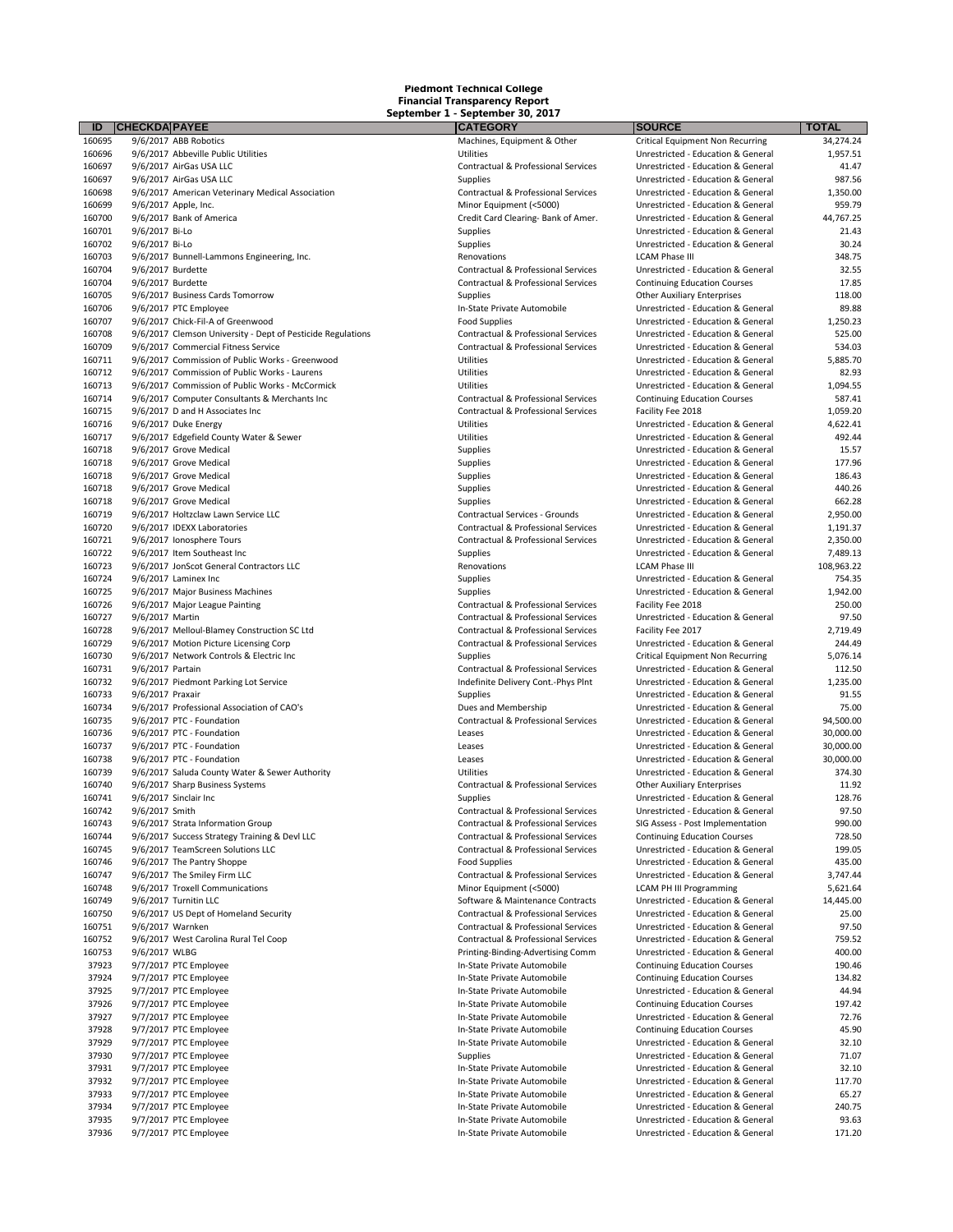| ID               | <b>CHECKDA PAYEE</b>                                              | <b>CATEGORY</b>                                  | <b>SOURCE</b>                                                            | <b>TOTAL</b>       |
|------------------|-------------------------------------------------------------------|--------------------------------------------------|--------------------------------------------------------------------------|--------------------|
| 160695           | 9/6/2017 ABB Robotics                                             | Machines, Equipment & Other                      | <b>Critical Equipment Non Recurring</b>                                  | 34,274.24          |
| 160696           | 9/6/2017 Abbeville Public Utilities                               | Utilities                                        | Unrestricted - Education & General                                       | 1,957.51           |
| 160697           | 9/6/2017 AirGas USA LLC                                           | Contractual & Professional Services              | Unrestricted - Education & General                                       | 41.47              |
| 160697           | 9/6/2017 AirGas USA LLC                                           | <b>Supplies</b>                                  | Unrestricted - Education & General                                       | 987.56             |
| 160698           | 9/6/2017 American Veterinary Medical Association                  | Contractual & Professional Services              | Unrestricted - Education & General                                       | 1,350.00           |
| 160699           | 9/6/2017 Apple, Inc.                                              | Minor Equipment (<5000)                          | Unrestricted - Education & General                                       | 959.79             |
| 160700           | 9/6/2017 Bank of America                                          | Credit Card Clearing- Bank of Amer.              | Unrestricted - Education & General                                       | 44,767.25          |
| 160701           | 9/6/2017 Bi-Lo                                                    | Supplies                                         | Unrestricted - Education & General                                       | 21.43              |
| 160702           | 9/6/2017 Bi-Lo                                                    | <b>Supplies</b>                                  | Unrestricted - Education & General                                       | 30.24              |
| 160703           | 9/6/2017 Bunnell-Lammons Engineering, Inc.                        | Renovations                                      | <b>LCAM Phase III</b>                                                    | 348.75             |
| 160704           | 9/6/2017 Burdette                                                 | Contractual & Professional Services              | Unrestricted - Education & General                                       | 32.55              |
| 160704           | 9/6/2017 Burdette                                                 | Contractual & Professional Services              | <b>Continuing Education Courses</b>                                      | 17.85              |
| 160705           | 9/6/2017 Business Cards Tomorrow                                  | <b>Supplies</b>                                  | <b>Other Auxiliary Enterprises</b>                                       | 118.00             |
| 160706           | 9/6/2017 PTC Employee                                             | In-State Private Automobile                      | Unrestricted - Education & General                                       | 89.88              |
| 160707           | 9/6/2017 Chick-Fil-A of Greenwood                                 | <b>Food Supplies</b>                             | Unrestricted - Education & General                                       | 1,250.23           |
| 160708           | 9/6/2017 Clemson University - Dept of Pesticide Regulations       | Contractual & Professional Services              | Unrestricted - Education & General                                       | 525.00             |
| 160709           | 9/6/2017 Commercial Fitness Service                               | Contractual & Professional Services              | Unrestricted - Education & General                                       | 534.03             |
| 160711           | 9/6/2017 Commission of Public Works - Greenwood                   | Utilities                                        | Unrestricted - Education & General                                       | 5,885.70           |
| 160712           | 9/6/2017 Commission of Public Works - Laurens                     | Utilities                                        | Unrestricted - Education & General                                       | 82.93              |
| 160713           | 9/6/2017 Commission of Public Works - McCormick                   | Utilities<br>Contractual & Professional Services | Unrestricted - Education & General                                       | 1,094.55<br>587.41 |
| 160714           | 9/6/2017 Computer Consultants & Merchants Inc                     |                                                  | <b>Continuing Education Courses</b>                                      |                    |
| 160715<br>160716 | 9/6/2017 D and H Associates Inc                                   | Contractual & Professional Services<br>Utilities | Facility Fee 2018                                                        | 1,059.20           |
| 160717           | 9/6/2017 Duke Energy                                              | Utilities                                        | Unrestricted - Education & General<br>Unrestricted - Education & General | 4,622.41<br>492.44 |
| 160718           | 9/6/2017 Edgefield County Water & Sewer<br>9/6/2017 Grove Medical | Supplies                                         | Unrestricted - Education & General                                       | 15.57              |
| 160718           | 9/6/2017 Grove Medical                                            |                                                  | Unrestricted - Education & General                                       | 177.96             |
| 160718           | 9/6/2017 Grove Medical                                            | Supplies<br>Supplies                             | Unrestricted - Education & General                                       | 186.43             |
| 160718           | 9/6/2017 Grove Medical                                            | Supplies                                         | Unrestricted - Education & General                                       | 440.26             |
| 160718           | 9/6/2017 Grove Medical                                            | Supplies                                         | Unrestricted - Education & General                                       | 662.28             |
| 160719           | 9/6/2017 Holtzclaw Lawn Service LLC                               | Contractual Services - Grounds                   | Unrestricted - Education & General                                       | 2,950.00           |
| 160720           | 9/6/2017 IDEXX Laboratories                                       | <b>Contractual &amp; Professional Services</b>   | Unrestricted - Education & General                                       | 1,191.37           |
| 160721           | 9/6/2017 Ionosphere Tours                                         | Contractual & Professional Services              | Unrestricted - Education & General                                       | 2,350.00           |
| 160722           | 9/6/2017 Item Southeast Inc                                       | Supplies                                         | Unrestricted - Education & General                                       | 7,489.13           |
| 160723           | 9/6/2017 JonScot General Contractors LLC                          | Renovations                                      | <b>LCAM Phase III</b>                                                    | 108,963.22         |
| 160724           | 9/6/2017 Laminex Inc                                              | Supplies                                         | Unrestricted - Education & General                                       | 754.35             |
| 160725           | 9/6/2017 Major Business Machines                                  | <b>Supplies</b>                                  | Unrestricted - Education & General                                       | 1,942.00           |
| 160726           | 9/6/2017 Major League Painting                                    | Contractual & Professional Services              | Facility Fee 2018                                                        | 250.00             |
| 160727           | 9/6/2017 Martin                                                   | Contractual & Professional Services              | Unrestricted - Education & General                                       | 97.50              |
| 160728           | 9/6/2017 Melloul-Blamey Construction SC Ltd                       | Contractual & Professional Services              | Facility Fee 2017                                                        | 2,719.49           |
| 160729           | 9/6/2017 Motion Picture Licensing Corp                            | Contractual & Professional Services              | Unrestricted - Education & General                                       | 244.49             |
| 160730           | 9/6/2017 Network Controls & Electric Inc                          | Supplies                                         | <b>Critical Equipment Non Recurring</b>                                  | 5,076.14           |
| 160731           | 9/6/2017 Partain                                                  | Contractual & Professional Services              | Unrestricted - Education & General                                       | 112.50             |
| 160732           | 9/6/2017 Piedmont Parking Lot Service                             | Indefinite Delivery Cont.-Phys Plnt              | Unrestricted - Education & General                                       | 1,235.00           |
| 160733           | 9/6/2017 Praxair                                                  | Supplies                                         | Unrestricted - Education & General                                       | 91.55              |
| 160734           | 9/6/2017 Professional Association of CAO's                        | Dues and Membership                              | Unrestricted - Education & General                                       | 75.00              |
| 160735           | 9/6/2017 PTC - Foundation                                         | Contractual & Professional Services              | Unrestricted - Education & General                                       | 94,500.00          |
| 160736           | 9/6/2017 PTC - Foundation                                         | Leases                                           | Unrestricted - Education & General                                       | 30,000.00          |
| 160737           | 9/6/2017 PTC - Foundation                                         | Leases                                           | Unrestricted - Education & General                                       | 30,000.00          |
| 160738           | 9/6/2017 PTC - Foundation                                         | Leases                                           | Unrestricted - Education & General                                       | 30,000.00          |
| 160739           | 9/6/2017 Saluda County Water & Sewer Authority                    | Utilities                                        | Unrestricted - Education & General                                       | 374.30             |
| 160740           | 9/6/2017 Sharp Business Systems                                   | Contractual & Professional Services              | <b>Other Auxiliary Enterprises</b>                                       | 11.92              |
| 160741           | 9/6/2017 Sinclair Inc                                             | <b>Supplies</b>                                  | Unrestricted - Education & General                                       | 128.76             |
| 160742           | 9/6/2017 Smith                                                    | Contractual & Professional Services              | Unrestricted - Education & General                                       | 97.50              |
| 160743           | 9/6/2017 Strata Information Group                                 | Contractual & Professional Services              | SIG Assess - Post Implementation                                         | 990.00             |
| 160744           | 9/6/2017 Success Strategy Training & Devl LLC                     | Contractual & Professional Services              | <b>Continuing Education Courses</b>                                      | 728.50             |
| 160745           | 9/6/2017 TeamScreen Solutions LLC                                 | Contractual & Professional Services              | Unrestricted - Education & General                                       | 199.05             |
| 160746           | 9/6/2017 The Pantry Shoppe                                        | <b>Food Supplies</b>                             | Unrestricted - Education & General                                       | 435.00             |
| 160747           | 9/6/2017 The Smiley Firm LLC                                      | Contractual & Professional Services              | Unrestricted - Education & General                                       | 3,747.44           |
| 160748           | 9/6/2017 Troxell Communications                                   | Minor Equipment (<5000)                          | <b>LCAM PH III Programming</b>                                           | 5,621.64           |
| 160749           | 9/6/2017 Turnitin LLC                                             | Software & Maintenance Contracts                 | Unrestricted - Education & General                                       | 14,445.00          |
| 160750           | 9/6/2017 US Dept of Homeland Security                             | Contractual & Professional Services              | Unrestricted - Education & General                                       | 25.00              |
| 160751           | 9/6/2017 Warnken                                                  | Contractual & Professional Services              | Unrestricted - Education & General                                       | 97.50              |
| 160752           | 9/6/2017 West Carolina Rural Tel Coop                             | Contractual & Professional Services              | Unrestricted - Education & General                                       | 759.52             |
| 160753           | 9/6/2017 WLBG                                                     | Printing-Binding-Advertising Comm                | Unrestricted - Education & General                                       | 400.00             |
| 37923            | 9/7/2017 PTC Employee                                             | In-State Private Automobile                      | <b>Continuing Education Courses</b>                                      | 190.46             |
| 37924            | 9/7/2017 PTC Employee                                             | In-State Private Automobile                      | <b>Continuing Education Courses</b>                                      | 134.82             |
| 37925            | 9/7/2017 PTC Employee                                             | In-State Private Automobile                      | Unrestricted - Education & General                                       | 44.94              |
| 37926            | 9/7/2017 PTC Employee                                             | In-State Private Automobile                      | <b>Continuing Education Courses</b>                                      | 197.42             |
| 37927            | 9/7/2017 PTC Employee                                             | In-State Private Automobile                      | Unrestricted - Education & General                                       | 72.76              |
| 37928            | 9/7/2017 PTC Employee                                             | In-State Private Automobile                      | <b>Continuing Education Courses</b>                                      | 45.90              |
| 37929            | 9/7/2017 PTC Employee                                             | In-State Private Automobile                      | Unrestricted - Education & General                                       | 32.10              |
| 37930            | 9/7/2017 PTC Employee                                             | Supplies                                         | Unrestricted - Education & General                                       | 71.07              |
| 37931            | 9/7/2017 PTC Employee                                             | In-State Private Automobile                      | Unrestricted - Education & General                                       | 32.10              |
| 37932            | 9/7/2017 PTC Employee                                             | In-State Private Automobile                      | Unrestricted - Education & General                                       | 117.70             |
| 37933            | 9/7/2017 PTC Employee                                             | In-State Private Automobile                      | Unrestricted - Education & General                                       | 65.27              |
| 37934            | 9/7/2017 PTC Employee                                             | In-State Private Automobile                      | Unrestricted - Education & General                                       | 240.75             |
| 37935            | 9/7/2017 PTC Employee                                             | In-State Private Automobile                      | Unrestricted - Education & General                                       | 93.63              |
| 37936            | 9/7/2017 PTC Employee                                             | In-State Private Automobile                      | Unrestricted - Education & General                                       | 171.20             |

| <b>CAILGURT</b>                     |  |
|-------------------------------------|--|
| Machines, Equipment & Other         |  |
| Utilities                           |  |
| Contractual & Professional Services |  |
| <b>Supplies</b>                     |  |
| Contractual & Professional Services |  |
| Minor Equipment (<5000)             |  |
| Credit Card Clearing- Bank of Amer. |  |
|                                     |  |
| Supplies                            |  |
| Supplies                            |  |
| Renovations                         |  |
| Contractual & Professional Services |  |
| Contractual & Professional Services |  |
| Supplies                            |  |
| In-State Private Automobile         |  |
|                                     |  |
| <b>Food Supplies</b>                |  |
| Contractual & Professional Services |  |
| Contractual & Professional Services |  |
| Utilities                           |  |
| Utilities                           |  |
| Utilities                           |  |
| Contractual & Professional Services |  |
| Contractual & Professional Services |  |
|                                     |  |
| Utilities                           |  |
| Utilities                           |  |
| Supplies                            |  |
| Supplies                            |  |
| Supplies                            |  |
| Supplies                            |  |
| <b>Supplies</b>                     |  |
| Contractual Services - Grounds      |  |
|                                     |  |
| Contractual & Professional Services |  |
| Contractual & Professional Services |  |
| Supplies                            |  |
| Renovations                         |  |
| Supplies                            |  |
| Supplies                            |  |
| Contractual & Professional Services |  |
| Contractual & Professional Services |  |
|                                     |  |
| Contractual & Professional Services |  |
| Contractual & Professional Services |  |
| Supplies                            |  |
| Contractual & Professional Services |  |
| Indefinite Delivery Cont.-Phys Plnt |  |
| Supplies                            |  |
| Dues and Membership                 |  |
| Contractual & Professional Services |  |
|                                     |  |
| Leases                              |  |
| Leases                              |  |
| Leases                              |  |
| Utilities                           |  |
| Contractual & Professional Services |  |
| Supplies                            |  |
| Contractual & Professional Services |  |
| Contractual & Professional Services |  |
| Contractual & Professional Services |  |
|                                     |  |
| Contractual & Professional Services |  |
| <b>Food Supplies</b>                |  |
| Contractual & Professional Services |  |
| Minor Equipment (<5000)             |  |
| Software & Maintenance Contracts    |  |
| Contractual & Professional Services |  |
| Contractual & Professional Services |  |
| Contractual & Professional Services |  |
|                                     |  |
| Printing-Binding-Advertising Comm   |  |
| In-State Private Automobile         |  |
| In-State Private Automobile         |  |
| In-State Private Automobile         |  |
| In-State Private Automobile         |  |
| In-State Private Automobile         |  |
| In-State Private Automobile         |  |
|                                     |  |
| In-State Private Automobile         |  |
| Supplies                            |  |
| In-State Private Automobile         |  |
| In-State Private Automobile         |  |
| In-State Private Automobile         |  |
| In-State Private Automobile         |  |
| In-State Private Automobile         |  |
|                                     |  |

| <b>CATEGORY</b>                                                            | <b>SOURCE</b>                                                            | TOTAL             |
|----------------------------------------------------------------------------|--------------------------------------------------------------------------|-------------------|
| Machines, Equipment & Other                                                | <b>Critical Equipment Non Recurring</b>                                  | 34,274.24         |
| Utilities                                                                  | Unrestricted - Education & General                                       | 1,957.51          |
| Contractual & Professional Services                                        | Unrestricted - Education & General                                       | 41.47             |
| <b>Supplies</b>                                                            | Unrestricted - Education & General                                       | 987.56            |
| Contractual & Professional Services                                        | Unrestricted - Education & General                                       | 1,350.00          |
| Minor Equipment (<5000)                                                    | Unrestricted - Education & General                                       | 959.79            |
| Credit Card Clearing- Bank of Amer.                                        | Unrestricted - Education & General                                       | 44,767.25         |
| <b>Supplies</b>                                                            | Unrestricted - Education & General                                       | 21.43             |
| Supplies                                                                   | Unrestricted - Education & General                                       | 30.24             |
| Renovations                                                                | <b>LCAM Phase III</b>                                                    | 348.75            |
| Contractual & Professional Services                                        | Unrestricted - Education & General                                       | 32.55             |
| Contractual & Professional Services                                        | <b>Continuing Education Courses</b>                                      | 17.85             |
| <b>Supplies</b>                                                            | <b>Other Auxiliary Enterprises</b>                                       | 118.00            |
| In-State Private Automobile                                                | Unrestricted - Education & General                                       | 89.88             |
| <b>Food Supplies</b>                                                       | Unrestricted - Education & General                                       | 1,250.23          |
| Contractual & Professional Services<br>Contractual & Professional Services | Unrestricted - Education & General<br>Unrestricted - Education & General | 525.00            |
| <b>Utilities</b>                                                           | Unrestricted - Education & General                                       | 534.03            |
| Utilities                                                                  | Unrestricted - Education & General                                       | 5,885.70<br>82.93 |
| Utilities                                                                  | Unrestricted - Education & General                                       | 1,094.55          |
| Contractual & Professional Services                                        | <b>Continuing Education Courses</b>                                      | 587.41            |
| Contractual & Professional Services                                        | Facility Fee 2018                                                        | 1,059.20          |
| Utilities                                                                  | Unrestricted - Education & General                                       | 4,622.41          |
| Utilities                                                                  | Unrestricted - Education & General                                       | 492.44            |
| <b>Supplies</b>                                                            | Unrestricted - Education & General                                       | 15.57             |
| <b>Supplies</b>                                                            | Unrestricted - Education & General                                       | 177.96            |
| <b>Supplies</b>                                                            | Unrestricted - Education & General                                       | 186.43            |
| Supplies                                                                   | Unrestricted - Education & General                                       | 440.26            |
| <b>Supplies</b>                                                            | Unrestricted - Education & General                                       | 662.28            |
| Contractual Services - Grounds                                             | Unrestricted - Education & General                                       | 2,950.00          |
| Contractual & Professional Services                                        | Unrestricted - Education & General                                       | 1,191.37          |
| Contractual & Professional Services                                        | Unrestricted - Education & General                                       | 2,350.00          |
| <b>Supplies</b>                                                            | Unrestricted - Education & General                                       | 7,489.13          |
| Renovations                                                                | <b>LCAM Phase III</b>                                                    | 108,963.22        |
| Supplies                                                                   | Unrestricted - Education & General                                       | 754.35            |
| <b>Supplies</b>                                                            | Unrestricted - Education & General                                       | 1,942.00          |
| Contractual & Professional Services                                        | Facility Fee 2018                                                        | 250.00            |
| Contractual & Professional Services                                        | Unrestricted - Education & General                                       | 97.50             |
| Contractual & Professional Services                                        | Facility Fee 2017                                                        | 2,719.49          |
| Contractual & Professional Services                                        | Unrestricted - Education & General                                       | 244.49            |
| <b>Supplies</b>                                                            | <b>Critical Equipment Non Recurring</b>                                  | 5,076.14          |
| Contractual & Professional Services                                        | Unrestricted - Education & General                                       | 112.50            |
| Indefinite Delivery Cont.-Phys Plnt                                        | Unrestricted - Education & General                                       | 1,235.00          |
| <b>Supplies</b>                                                            | Unrestricted - Education & General                                       | 91.55             |
| Dues and Membership                                                        | Unrestricted - Education & General                                       | 75.00             |
| Contractual & Professional Services                                        | Unrestricted - Education & General                                       | 94,500.00         |
| Leases                                                                     | Unrestricted - Education & General                                       | 30,000.00         |
| Leases                                                                     | Unrestricted - Education & General                                       | 30,000.00         |
| Leases                                                                     | Unrestricted - Education & General<br>Unrestricted - Education & General | 30,000.00         |
| <b>Utilities</b>                                                           | <b>Other Auxiliary Enterprises</b>                                       | 374.30<br>11.92   |
| Contractual & Professional Services<br><b>Supplies</b>                     | Unrestricted - Education & General                                       | 128.76            |
| Contractual & Professional Services                                        | Unrestricted - Education & General                                       | 97.50             |
| Contractual & Professional Services                                        | SIG Assess - Post Implementation                                         | 990.00            |
| Contractual & Professional Services                                        | <b>Continuing Education Courses</b>                                      | 728.50            |
| Contractual & Professional Services                                        | Unrestricted - Education & General                                       | 199.05            |
| <b>Food Supplies</b>                                                       | Unrestricted - Education & General                                       | 435.00            |
| Contractual & Professional Services                                        | Unrestricted - Education & General                                       | 3,747.44          |
| Minor Equipment (<5000)                                                    | <b>LCAM PH III Programming</b>                                           | 5,621.64          |
| Software & Maintenance Contracts                                           | Unrestricted - Education & General                                       | 14,445.00         |
| Contractual & Professional Services                                        | Unrestricted - Education & General                                       | 25.00             |
| Contractual & Professional Services                                        | Unrestricted - Education & General                                       | 97.50             |
| Contractual & Professional Services                                        | Unrestricted - Education & General                                       | 759.52            |
| Printing-Binding-Advertising Comm                                          | Unrestricted - Education & General                                       | 400.00            |
| In-State Private Automobile                                                | <b>Continuing Education Courses</b>                                      | 190.46            |
| In-State Private Automobile                                                | <b>Continuing Education Courses</b>                                      | 134.82            |
| In-State Private Automobile                                                | Unrestricted - Education & General                                       | 44.94             |
| In-State Private Automobile                                                | <b>Continuing Education Courses</b>                                      | 197.42            |
| In-State Private Automobile                                                | Unrestricted - Education & General                                       | 72.76             |
| In-State Private Automobile                                                | <b>Continuing Education Courses</b>                                      | 45.90             |
| In-State Private Automobile                                                | Unrestricted - Education & General                                       | 32.10             |
| Supplies                                                                   | Unrestricted - Education & General                                       | 71.07             |
| In-State Private Automobile                                                | Unrestricted - Education & General                                       | 32.10             |
| In-State Private Automobile                                                | Unrestricted - Education & General                                       | 117.70            |
| In-State Private Automobile                                                | Unrestricted - Education & General                                       | 65.27             |
| In-State Private Automobile                                                | Unrestricted - Education & General                                       | 240.75            |
| In-State Private Automobile                                                | Unrestricted - Education & General                                       | 93.63             |
| In-State Private Automobile                                                | Unrestricted - Education & General                                       | 171.20            |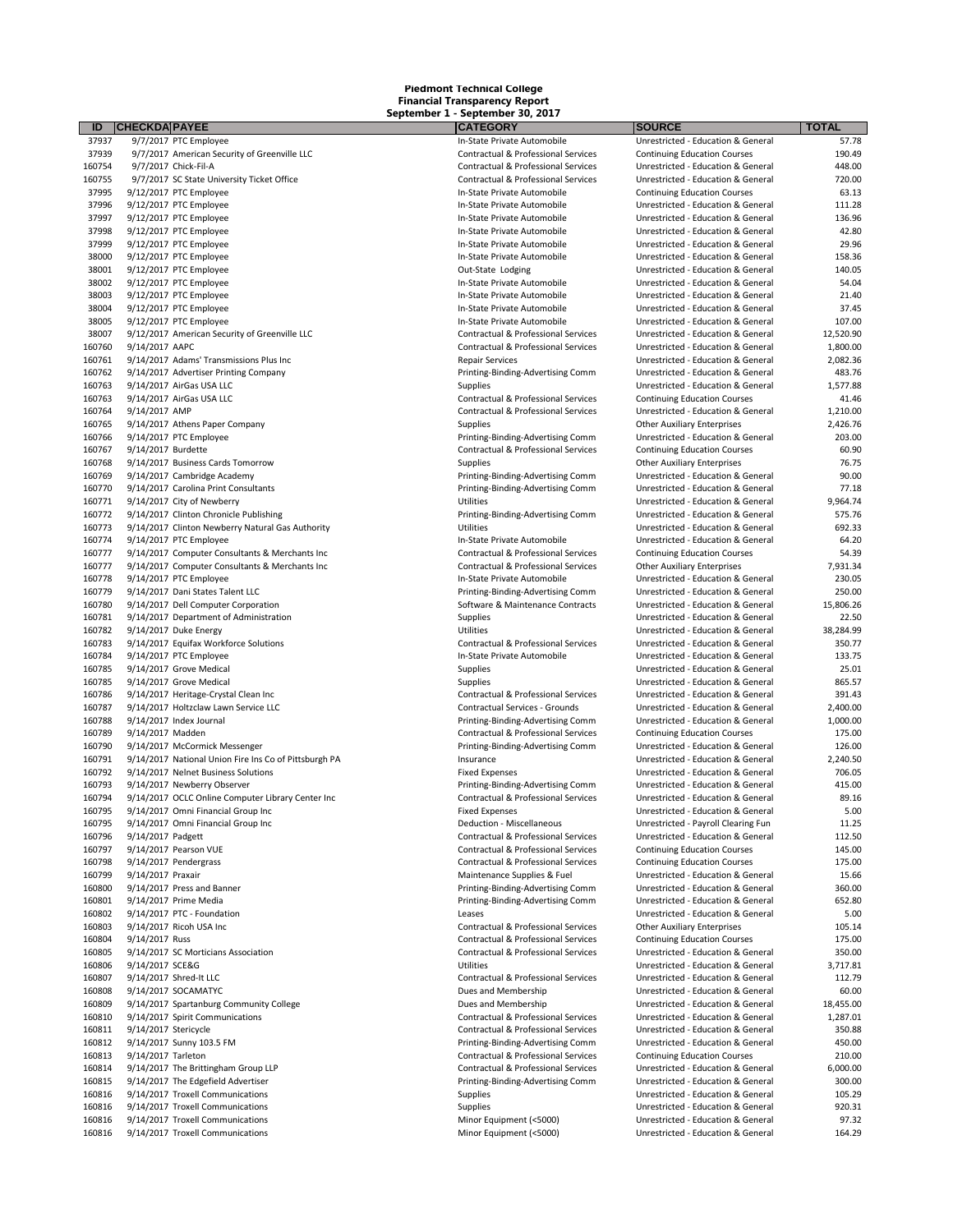9/7/2017 PTC Employee In-State Private Automobile Unrestricted - Education & General 57.78 37939 9/7/2017 American Security of Greenville LLC **Contractual & Professional Services** Continuing Education Courses 190.49 9/7/2017 Chick-Fil-A Contractual & Professional Services Unrestricted - Education & General 448.00 9/7/2017 SC State University Ticket Office Contractual & Professional Services Unrestricted - Education & General 720.00 9/12/2017 PTC Employee In-State Private Automobile Continuing Education Courses 63.13 37996 9/12/2017 PTC Employee **Intervention Constructs** In-State Private Automobile Unrestricted - Education & General 111.28 37997 9/12/2017 PTC Employee Supervalue Controllers and the State Private Automobile Unrestricted - Education & General 136.96 9/12/2017 PTC Employee In-State Private Automobile Unrestricted - Education & General 42.80 9/12/2017 PTC Employee In-State Private Automobile Unrestricted - Education & General 29.96 38000 9/12/2017 PTC Employee Same International Control of the State Private Automobile Unrestricted - Education & General 158.36 38001 9/12/2017 PTC Employee 20 140.05 and the State Lodging Cut-State Lodging Unrestricted - Education & General 140.05<br>19802 9/12/2017 PTC Employee 20 16 and the State Private Automobile 20 10 Unrestricted - Education & 38002 9/12/2017 PTC Employee Sachle State In-State Private Automobile State Unrestricted - Education & General 54.04<br>19803 9/12/2017 PTC Employee State State Automobile State Private Automobile Unrestricted - Education & G 38003 9/12/2017 PTC Employee 21.40<br>38004 9/12/2017 PTC Employee 21.40 Private Private Private Automobile 21.40 Unrestricted - Education & General<br>37.45 Private Automobile Unrestricted - Education & General 21.40 9/12/2017 PTC Employee In-State Private Automobile Unrestricted - Education & General 37.45 38007 9/12/2017 American Security of Greenville LLC and Secure Contractual & Professional Services Unrestricted - Education & General 12,520.90<br>Contractual & Professional Services Unrestricted - Education & General 1.800.0 9/14/2017 AAPC Contractual & Professional Services Unrestricted - Education & General 1,800.00 9/14/2017 Adams' Transmissions Plus Inc Repair Services Unrestricted - Education & General 2,082.36 9/14/2017 Advertiser Printing Company Printing-Binding-Advertising Comm Unrestricted - Education & General 483.76 9/14/2017 AirGas USA LLC Contractual & Professional Services Continuing Education Courses 41.46 9/14/2017 AMP Contractual & Professional Services Unrestricted - Education & General 1,210.00 9/14/2017 Athens Paper Company Supplies Supplies Supplies Company Supplies 2,426.767.767.767.767.767.767.767.76 9/14/2017 PTC Employee Printing-Binding-Advertising Comm Unrestricted - Education & General 203.00 9/14/2017 Burdette Contractual & Professional Services Continuing Education Courses 60.90 9/14/2017 Business Cards Tomorrow Supplies Other Auxiliary Enterprises 76.75 9/14/2017 Cambridge Academy Printing-Binding-Advertising Comm Unrestricted - Education & General 90.00 9/14/2017 Carolina Print Consultants Printing-Binding-Advertising Comm Unrestricted - Education & General 77.18 9/14/2017 City of Newberry Utilities Unrestricted - Education & General 9,964.74 9/14/2017 Clinton Chronicle Publishing Printing-Binding-Advertising Comm Unrestricted - Education & General 575.76 9/14/2017 Clinton Newberry Natural Gas Authority Utilities Unrestricted - Education & General 692.33 9/14/2017 PTC Employee In-State Private Automobile Unrestricted - Education & General 64.20 9/14/2017 Computer Consultants & Merchants Inc Contractual & Professional Services Continuing Education Courses 54.39 9/14/2017 Computer Consultants & Merchants Inc Contractual & Professional Services Other Auxiliary Enterprises 7,931.34 9/14/2017 PTC Employee In-State Private Automobile Unrestricted - Education & General 230.05 9/14/2017 Dani States Talent LLC Printing-Binding-Advertising Comm Unrestricted - Education & General 250.00 160781 9/14/2017 Department of Administration (and the Supplies Supplies Supplies Unrestricted - Education & General 22.50 and the Supplies of the Supplies of the Supplies of the Supplies of the Supplies of the Supplies of 9/14/2017 Duke Energy Utilities Unrestricted - Education & General 38,284.99 9/14/2017 Equifax Workforce Solutions Contractual & Professional Services Unrestricted - Education & General 350.77 9/14/2017 Grove Medical Supplies Unrestricted - Education & General 25.01 160785 9/14/2017 Grove Medical Supplies Supplies Supplies Supplies Unrestricted - Education & General 865.57<br>160786 9/14/2017 Heritage-Crystal Clean Inc Supplies Supplies Contractual & Professional Services Unrestricted - 9/14/2017 Heritage-Crystal Clean Inc Contractual & Professional Services Unrestricted - Education & General 391.43 9/14/2017 Index Journal Printing-Binding-Advertising Comm Unrestricted - Education & General 1,000.00 9/14/2017 Madden Contractual & Professional Services Continuing Education Courses 175.00 9/14/2017 McCormick Messenger Printing-Binding-Advertising Comm Unrestricted - Education & General 126.00 160791 9/14/2017 National Union Fire Ins Co of Pittsburgh PA **Insurance** Insurance Unrestricted - Education & General 2,240.50<br>160792 9/14/2017 Nelnet Business Solutions Cookies of Pittsburgh Particle of Pittsburgh Pittsbu 160792 9/14/2017 Nelnet Business Solutions and the State of the Schware of the Schware of the Schware of Tomas<br>160793 9/14/2017 Newberry Observer and the Schware Schware Printing-Binding-Advertising Comm Unrestricted - Edu 9/14/2017 OCLC Online Computer Library Center Inc Contractual & Professional Services Unrestricted - Education & General 89.16 9/14/2017 Omni Financial Group Inc Fixed Expenses Unrestricted - Education & General 5.00 9/14/2017 Omni Financial Group Inc Deduction - Miscellaneous Unrestricted - Payroll Clearing Fun 11.25 9/14/2017 Padgett Contractual & Professional Services Unrestricted - Education & General 112.50 9/14/2017 Pearson VUE Contractual & Professional Services Continuing Education Courses 145.00 9/14/2017 Pendergrass Contractual & Professional Services Continuing Education Courses 175.00 9/14/2017 Praxair Maintenance Supplies & Fuel Unrestricted - Education & General 15.66 9/14/2017 Prime Media Printing-Binding-Advertising Comm Unrestricted - Education & General 652.80 9/14/2017 PTC - Foundation Leases Unrestricted - Education & General 5.00 9/14/2017 Ricoh USA Inc Contractual & Professional Services Other Auxiliary Enterprises 105.14 9/14/2017 SC Morticians Association Contractual & Professional Services Unrestricted - Education & General 350.00 9/14/2017 SCE&G Utilities Unrestricted - Education & General 3,717.81 9/14/2017 Shred-It LLC Contractual & Professional Services Unrestricted - Education & General 112.79 160809 9/14/2017 Spartanburg Community College Community College Dues and Membership Unrestricted - Education & General 18,455.00<br>160810 160810 160810 1787.01 1787.01 1787.01 160810 9/14/2017 Spirit Communications extending the Supervention of Contractual & Professional Services Unrestricted - Education & General Contractual & Professional Services Unrestricted - Education & General 1,607.012.0 9/14/2017 Stericycle Contractual & Professional Services Unrestricted - Education & General 350.88 9/14/2017 Tarleton Contractual & Professional Services Continuing Education Courses 210.00 9/14/2017 The Brittingham Group LLP Contractual & Professional Services Unrestricted - Education & General 6,000.00 9/14/2017 The Edgefield Advertiser Printing-Binding-Advertising Comm Unrestricted - Education & General 300.00 9/14/2017 Troxell Communications Supplies Unrestricted - Education & General 105.29 160816 9/14/2017 Troxell Communications and the state of the Supplies Supplies Supplies of the Unrestricted - Education & General 920.31 160816 9/14/2017 Troxell Communications Supplies Communications of the Supplies of th 9/14/2017 Troxell Communications Minor Equipment (<5000) Unrestricted - Education & General 164.29

16076 Supplies 160763 9/14/2017 Municipal Unrestricted - Education & General Printing-Binding-Advertising Comm Unrestricted - Education & General<br>
Printing-Binding-Advertising Comm Unrestricted - Education & General Printing-Binding-Advertising Comm

**ID CHECKDATEPAYEE CATEGORY SOURCE TOTAL** 11-State Private Automobile **107.00**<br>3107.00 Contractual & Professional Services Unrestricted - Education & General 12,520.90 15,806.26 Unrestricted - Education & General 15,806.26<br>15,806.26 Unrestricted - Education & General 22.50 9/14/2017 PTC Employee In-State Private Automobile Unrestricted - Education & General 133.75 9/14/2017 Holtzclaw Lawn Service LLC Contractual Services - Grounds Unrestricted - Education & General 2,400.00 9/14/2017 Newberry Observer Printing-Binding-Advertising Comm Unrestricted - Education & General 415.00 9/14/2017 Russ Contractual & Professional Services Continuing Education Courses 175.00 160.00 Unrestricted - Education & General 60.00<br>18.455.00 Unrestricted - Education & General 60.00 9/14/2017 Troxell Communications Minor Equipment (<5000) Unrestricted - Education & General 97.32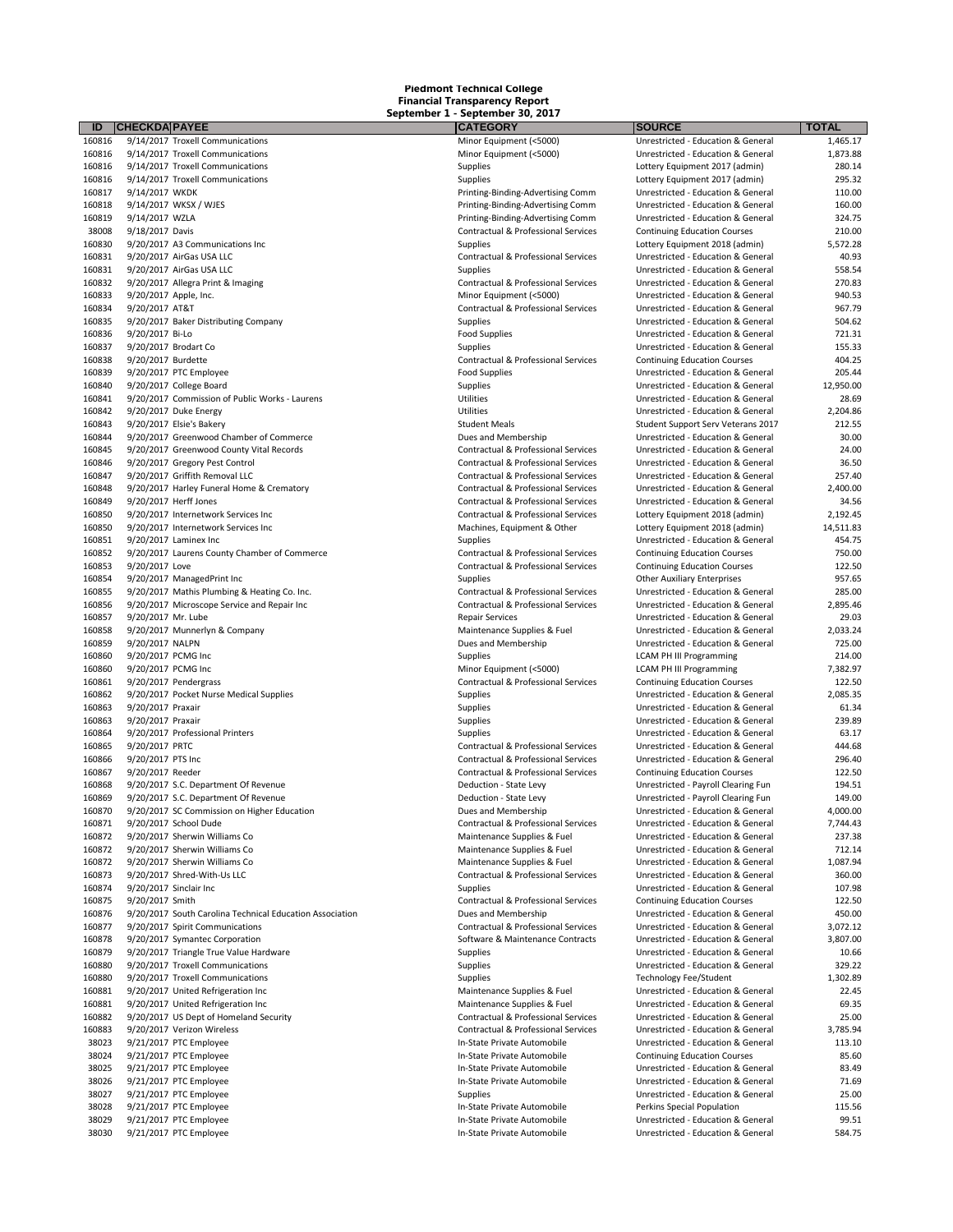| ID                                                                                                       | <b>CHECKDA PAYEE</b>                                     | <b>CATEGORY</b>                                                            | <b>SOURCE</b>                                                            | <b>TOTAL</b>          |
|----------------------------------------------------------------------------------------------------------|----------------------------------------------------------|----------------------------------------------------------------------------|--------------------------------------------------------------------------|-----------------------|
| 160816                                                                                                   | 9/14/2017 Troxell Communications                         | Minor Equipment (<5000)                                                    | Unrestricted - Education & General                                       | 1,465.17              |
| 160816                                                                                                   | 9/14/2017 Troxell Communications                         | Minor Equipment (<5000)                                                    | Unrestricted - Education & General                                       | 1,873.88              |
| 160816                                                                                                   | 9/14/2017 Troxell Communications                         | Supplies                                                                   | Lottery Equipment 2017 (admin)                                           | 280.14                |
| 160816                                                                                                   | 9/14/2017 Troxell Communications                         | Supplies                                                                   | Lottery Equipment 2017 (admin)                                           | 295.32                |
| 160817                                                                                                   | 9/14/2017 WKDK                                           | Printing-Binding-Advertising Comm                                          | Unrestricted - Education & General<br>Unrestricted - Education & General | 110.00<br>160.00      |
| 160818                                                                                                   | 9/14/2017 WKSX / WJES                                    | Printing-Binding-Advertising Comm                                          |                                                                          |                       |
| 160819                                                                                                   | 9/14/2017 WZLA                                           | Printing-Binding-Advertising Comm                                          | Unrestricted - Education & General                                       | 324.75                |
| 38008                                                                                                    | 9/18/2017 Davis                                          | Contractual & Professional Services                                        | <b>Continuing Education Courses</b>                                      | 210.00                |
| 160830                                                                                                   | 9/20/2017 A3 Communications Inc                          | Supplies                                                                   | Lottery Equipment 2018 (admin)                                           | 5,572.28              |
| 160831                                                                                                   | 9/20/2017 AirGas USA LLC                                 | Contractual & Professional Services                                        | Unrestricted - Education & General                                       | 40.93                 |
| 160831                                                                                                   | 9/20/2017 AirGas USA LLC                                 | Supplies                                                                   | Unrestricted - Education & General<br>Unrestricted - Education & General | 558.54<br>270.83      |
| 160832<br>160833                                                                                         | 9/20/2017 Allegra Print & Imaging                        | Contractual & Professional Services<br>Minor Equipment (<5000)             |                                                                          | 940.53                |
| 160834                                                                                                   | 9/20/2017 Apple, Inc.<br>9/20/2017 AT&T                  | Contractual & Professional Services                                        | Unrestricted - Education & General<br>Unrestricted - Education & General | 967.79                |
| 160835                                                                                                   | 9/20/2017 Baker Distributing Company                     | Supplies                                                                   | Unrestricted - Education & General                                       | 504.62                |
| 160836                                                                                                   | 9/20/2017 Bi-Lo                                          | <b>Food Supplies</b>                                                       | Unrestricted - Education & General                                       | 721.31                |
| 160837                                                                                                   | 9/20/2017 Brodart Co                                     | Supplies                                                                   | Unrestricted - Education & General                                       | 155.33                |
| 160838                                                                                                   | 9/20/2017 Burdette                                       | Contractual & Professional Services                                        | <b>Continuing Education Courses</b>                                      | 404.25                |
| 160839                                                                                                   | 9/20/2017 PTC Employee                                   | <b>Food Supplies</b>                                                       | Unrestricted - Education & General                                       | 205.44                |
| 160840                                                                                                   | 9/20/2017 College Board                                  |                                                                            | Unrestricted - Education & General                                       | 12,950.00             |
| 160841                                                                                                   | 9/20/2017 Commission of Public Works - Laurens           | Supplies<br>Utilities                                                      | Unrestricted - Education & General                                       | 28.69                 |
| 160842                                                                                                   | 9/20/2017 Duke Energy                                    | Utilities                                                                  | Unrestricted - Education & General                                       | 2,204.86              |
|                                                                                                          | 9/20/2017 Elsie's Bakery                                 | <b>Student Meals</b>                                                       | Student Support Serv Veterans 2017                                       | 212.55                |
| 160843<br>160844                                                                                         | 9/20/2017 Greenwood Chamber of Commerce                  | Dues and Membership                                                        | Unrestricted - Education & General                                       | 30.00                 |
| 160845                                                                                                   | 9/20/2017 Greenwood County Vital Records                 |                                                                            | Unrestricted - Education & General                                       | 24.00                 |
| 160846                                                                                                   | 9/20/2017 Gregory Pest Control                           | Contractual & Professional Services<br>Contractual & Professional Services | Unrestricted - Education & General                                       | 36.50                 |
| 160847                                                                                                   | 9/20/2017 Griffith Removal LLC                           | Contractual & Professional Services                                        | Unrestricted - Education & General                                       | 257.40                |
| 160848                                                                                                   | 9/20/2017 Harley Funeral Home & Crematory                | Contractual & Professional Services                                        | Unrestricted - Education & General                                       | 2,400.00              |
| 160849                                                                                                   | 9/20/2017 Herff Jones                                    | Contractual & Professional Services                                        | Unrestricted - Education & General                                       | 34.56                 |
|                                                                                                          | 9/20/2017 Internetwork Services Inc                      | Contractual & Professional Services                                        | Lottery Equipment 2018 (admin)                                           |                       |
| 160850<br>160850                                                                                         | 9/20/2017 Internetwork Services Inc                      |                                                                            |                                                                          | 2,192.45<br>14,511.83 |
| 160851                                                                                                   | 9/20/2017 Laminex Inc                                    | Machines, Equipment & Other                                                | Lottery Equipment 2018 (admin)                                           | 454.75                |
|                                                                                                          |                                                          | Supplies                                                                   | Unrestricted - Education & General                                       |                       |
| 160852                                                                                                   | 9/20/2017 Laurens County Chamber of Commerce             | Contractual & Professional Services                                        | <b>Continuing Education Courses</b>                                      | 750.00<br>122.50      |
| 160853                                                                                                   | 9/20/2017 Love                                           | Contractual & Professional Services                                        | <b>Continuing Education Courses</b>                                      |                       |
| 160854                                                                                                   | 9/20/2017 ManagedPrint Inc                               | Supplies                                                                   | <b>Other Auxiliary Enterprises</b>                                       | 957.65                |
| 160855                                                                                                   | 9/20/2017 Mathis Plumbing & Heating Co. Inc.             | Contractual & Professional Services                                        | Unrestricted - Education & General                                       | 285.00                |
| 160856                                                                                                   | 9/20/2017 Microscope Service and Repair Inc              | Contractual & Professional Services                                        | Unrestricted - Education & General                                       | 2,895.46              |
| 160857                                                                                                   | 9/20/2017 Mr. Lube                                       | <b>Repair Services</b>                                                     | Unrestricted - Education & General                                       | 29.03                 |
| 160858                                                                                                   | 9/20/2017 Munnerlyn & Company                            | Maintenance Supplies & Fuel                                                | Unrestricted - Education & General                                       | 2,033.24              |
| 160859                                                                                                   | 9/20/2017 NALPN                                          | Dues and Membership                                                        | Unrestricted - Education & General                                       | 725.00                |
| 160860                                                                                                   | 9/20/2017 PCMG Inc                                       | Supplies                                                                   | <b>LCAM PH III Programming</b>                                           | 214.00                |
| 160860                                                                                                   | 9/20/2017 PCMG Inc                                       | Minor Equipment (<5000)                                                    | <b>LCAM PH III Programming</b>                                           | 7,382.97              |
| 160861                                                                                                   | 9/20/2017 Pendergrass                                    | Contractual & Professional Services                                        | <b>Continuing Education Courses</b>                                      | 122.50                |
| 160862                                                                                                   | 9/20/2017 Pocket Nurse Medical Supplies                  | Supplies                                                                   | Unrestricted - Education & General                                       | 2,085.35              |
| 160863                                                                                                   | 9/20/2017 Praxair                                        | Supplies                                                                   | Unrestricted - Education & General                                       | 61.34                 |
| 160863                                                                                                   | 9/20/2017 Praxair                                        | Supplies                                                                   | Unrestricted - Education & General                                       | 239.89                |
| 160864                                                                                                   | 9/20/2017 Professional Printers                          | Supplies                                                                   | Unrestricted - Education & General                                       | 63.17                 |
| 160865                                                                                                   | 9/20/2017 PRTC                                           | Contractual & Professional Services                                        | Unrestricted - Education & General                                       | 444.68                |
| 160866                                                                                                   | 9/20/2017 PTS Inc                                        | Contractual & Professional Services                                        | Unrestricted - Education & General                                       | 296.40                |
| 160867                                                                                                   | 9/20/2017 Reeder                                         | Contractual & Professional Services                                        | <b>Continuing Education Courses</b>                                      | 122.50                |
| 160868                                                                                                   | 9/20/2017 S.C. Department Of Revenue                     | Deduction - State Levy                                                     | Unrestricted - Payroll Clearing Fun                                      | 194.51                |
| 160869                                                                                                   | 9/20/2017 S.C. Department Of Revenue                     | Deduction - State Levy                                                     | Unrestricted - Payroll Clearing Fun                                      | 149.00                |
| 160870                                                                                                   | 9/20/2017 SC Commission on Higher Education              | Dues and Membership                                                        | Unrestricted - Education & General                                       | 4,000.00              |
| 160871                                                                                                   | 9/20/2017 School Dude                                    | Contractual & Professional Services                                        | Unrestricted - Education & General                                       | 7,744.43              |
| 160872                                                                                                   | 9/20/2017 Sherwin Williams Co                            | Maintenance Supplies & Fuel                                                | Unrestricted - Education & General                                       | 237.38                |
| 160872                                                                                                   | 9/20/2017 Sherwin Williams Co                            | Maintenance Supplies & Fuel                                                | Unrestricted - Education & General                                       | 712.14                |
| 160872                                                                                                   | 9/20/2017 Sherwin Williams Co                            | Maintenance Supplies & Fuel                                                | Unrestricted - Education & General                                       | 1,087.94              |
| 160873                                                                                                   | 9/20/2017 Shred-With-Us LLC                              | Contractual & Professional Services                                        | Unrestricted - Education & General                                       | 360.00                |
| 160874                                                                                                   | 9/20/2017 Sinclair Inc                                   | Supplies                                                                   | Unrestricted - Education & General                                       | 107.98                |
| 160875                                                                                                   | 9/20/2017 Smith                                          | Contractual & Professional Services                                        | <b>Continuing Education Courses</b>                                      | 122.50                |
| 160876                                                                                                   | 9/20/2017 South Carolina Technical Education Association | Dues and Membership                                                        | Unrestricted - Education & General                                       | 450.00                |
|                                                                                                          |                                                          |                                                                            | Unrestricted - Education & General                                       | 3,072.12              |
|                                                                                                          | 9/20/2017 Spirit Communications                          | Contractual & Professional Services                                        |                                                                          |                       |
|                                                                                                          | 9/20/2017 Symantec Corporation                           | Software & Maintenance Contracts                                           | Unrestricted - Education & General                                       | 3,807.00              |
|                                                                                                          | 9/20/2017 Triangle True Value Hardware                   | Supplies                                                                   | Unrestricted - Education & General                                       | 10.66                 |
|                                                                                                          | 9/20/2017 Troxell Communications                         | Supplies                                                                   | Unrestricted - Education & General                                       | 329.22                |
|                                                                                                          | 9/20/2017 Troxell Communications                         | Supplies                                                                   | <b>Technology Fee/Student</b>                                            | 1,302.89              |
|                                                                                                          | 9/20/2017 United Refrigeration Inc                       | Maintenance Supplies & Fuel                                                | Unrestricted - Education & General                                       | 22.45                 |
|                                                                                                          | 9/20/2017 United Refrigeration Inc                       | Maintenance Supplies & Fuel                                                | Unrestricted - Education & General                                       | 69.35                 |
|                                                                                                          | 9/20/2017 US Dept of Homeland Security                   | Contractual & Professional Services                                        | Unrestricted - Education & General                                       | 25.00                 |
|                                                                                                          | 9/20/2017 Verizon Wireless                               | Contractual & Professional Services                                        | Unrestricted - Education & General                                       | 3,785.94              |
| 38023                                                                                                    | 9/21/2017 PTC Employee                                   | In-State Private Automobile                                                | Unrestricted - Education & General                                       | 113.10                |
| 38024                                                                                                    | 9/21/2017 PTC Employee                                   | In-State Private Automobile                                                | <b>Continuing Education Courses</b>                                      | 85.60                 |
| 38025                                                                                                    | 9/21/2017 PTC Employee                                   | In-State Private Automobile                                                | Unrestricted - Education & General                                       | 83.49                 |
|                                                                                                          |                                                          |                                                                            |                                                                          |                       |
| 38026                                                                                                    | 9/21/2017 PTC Employee                                   | In-State Private Automobile                                                | Unrestricted - Education & General                                       | 71.69<br>25.00        |
| 38027                                                                                                    | 9/21/2017 PTC Employee                                   | Supplies                                                                   | Unrestricted - Education & General                                       |                       |
| 160877<br>160878<br>160879<br>160880<br>160880<br>160881<br>160881<br>160882<br>160883<br>38028<br>38029 | 9/21/2017 PTC Employee<br>9/21/2017 PTC Employee         | In-State Private Automobile<br>In-State Private Automobile                 | Perkins Special Population<br>Unrestricted - Education & General         | 115.56<br>99.51       |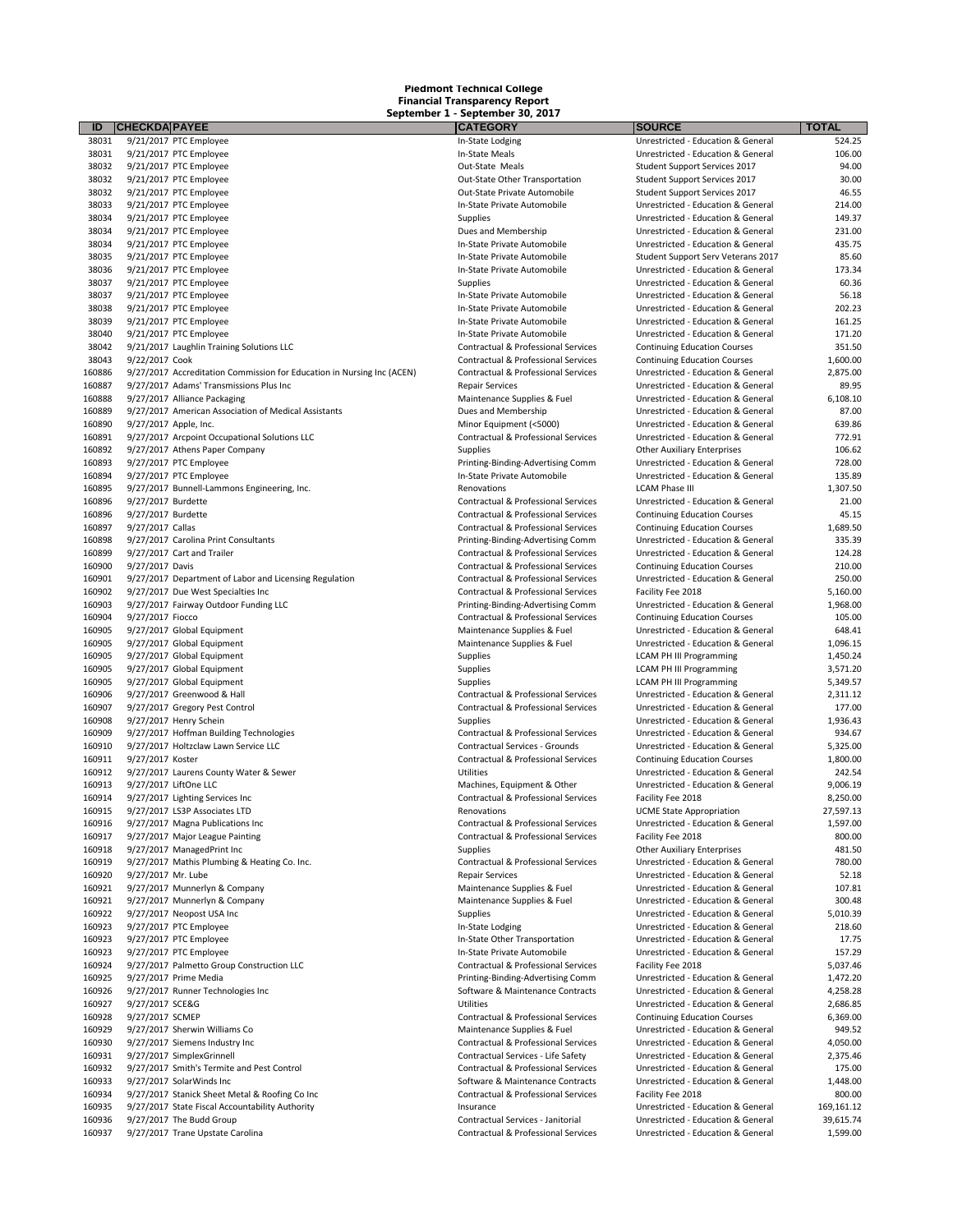| ID               | <b>CHECKDA PAYEE</b>                                                                                              | <b>CATEGORY</b>                                               | <b>SOURCE</b>                                                            | <b>TOTAL</b>      |
|------------------|-------------------------------------------------------------------------------------------------------------------|---------------------------------------------------------------|--------------------------------------------------------------------------|-------------------|
| 38031            | 9/21/2017 PTC Employee                                                                                            | In-State Lodging                                              | Unrestricted - Education & General                                       | 524.25            |
| 38031            | 9/21/2017 PTC Employee                                                                                            | In-State Meals                                                | Unrestricted - Education & General                                       | 106.00            |
| 38032            | 9/21/2017 PTC Employee                                                                                            | Out-State Meals                                               | Student Support Services 2017                                            | 94.00             |
| 38032            | 9/21/2017 PTC Employee                                                                                            | Out-State Other Transportation                                | Student Support Services 2017                                            | 30.00             |
| 38032            | 9/21/2017 PTC Employee                                                                                            | Out-State Private Automobile                                  | Student Support Services 2017                                            | 46.55             |
| 38033            | 9/21/2017 PTC Employee                                                                                            | In-State Private Automobile                                   | Unrestricted - Education & General                                       | 214.00            |
| 38034            | 9/21/2017 PTC Employee                                                                                            | Supplies                                                      | Unrestricted - Education & General                                       | 149.37            |
| 38034            | 9/21/2017 PTC Employee                                                                                            | Dues and Membership                                           | Unrestricted - Education & General                                       | 231.00            |
| 38034            | 9/21/2017 PTC Employee                                                                                            | In-State Private Automobile                                   | Unrestricted - Education & General                                       | 435.75            |
| 38035            | 9/21/2017 PTC Employee                                                                                            | In-State Private Automobile                                   | Student Support Serv Veterans 2017                                       | 85.60             |
| 38036            | 9/21/2017 PTC Employee                                                                                            | In-State Private Automobile                                   | Unrestricted - Education & General                                       | 173.34            |
| 38037            | 9/21/2017 PTC Employee                                                                                            | Supplies                                                      | Unrestricted - Education & General                                       | 60.36             |
| 38037            | 9/21/2017 PTC Employee                                                                                            | In-State Private Automobile                                   | Unrestricted - Education & General                                       | 56.18             |
| 38038            | 9/21/2017 PTC Employee                                                                                            | In-State Private Automobile                                   | Unrestricted - Education & General                                       | 202.23            |
| 38039            | 9/21/2017 PTC Employee                                                                                            | In-State Private Automobile                                   | Unrestricted - Education & General                                       | 161.25            |
| 38040            | 9/21/2017 PTC Employee                                                                                            | In-State Private Automobile                                   | Unrestricted - Education & General                                       | 171.20            |
| 38042            | 9/21/2017 Laughlin Training Solutions LLC                                                                         | Contractual & Professional Services                           | <b>Continuing Education Courses</b>                                      | 351.50            |
| 38043<br>160886  | 9/22/2017 Cook                                                                                                    | Contractual & Professional Services                           | <b>Continuing Education Courses</b>                                      | 1,600.00          |
| 160887           | 9/27/2017 Accreditation Commission for Education in Nursing Inc (ACEN)<br>9/27/2017 Adams' Transmissions Plus Inc | Contractual & Professional Services<br><b>Repair Services</b> | Unrestricted - Education & General<br>Unrestricted - Education & General | 2,875.00<br>89.95 |
| 160888           | 9/27/2017 Alliance Packaging                                                                                      | Maintenance Supplies & Fuel                                   | Unrestricted - Education & General                                       | 6,108.10          |
| 160889           | 9/27/2017 American Association of Medical Assistants                                                              | Dues and Membership                                           | Unrestricted - Education & General                                       | 87.00             |
| 160890           | 9/27/2017 Apple, Inc.                                                                                             | Minor Equipment (<5000)                                       | Unrestricted - Education & General                                       | 639.86            |
| 160891           | 9/27/2017 Arcpoint Occupational Solutions LLC                                                                     | Contractual & Professional Services                           | Unrestricted - Education & General                                       | 772.91            |
| 160892           | 9/27/2017 Athens Paper Company                                                                                    | Supplies                                                      | <b>Other Auxiliary Enterprises</b>                                       | 106.62            |
| 160893           | 9/27/2017 PTC Employee                                                                                            | Printing-Binding-Advertising Comm                             | Unrestricted - Education & General                                       | 728.00            |
| 160894           | 9/27/2017 PTC Employee                                                                                            | In-State Private Automobile                                   | Unrestricted - Education & General                                       | 135.89            |
| 160895           | 9/27/2017 Bunnell-Lammons Engineering, Inc.                                                                       | Renovations                                                   | <b>LCAM Phase III</b>                                                    | 1,307.50          |
| 160896           | 9/27/2017 Burdette                                                                                                | Contractual & Professional Services                           | Unrestricted - Education & General                                       | 21.00             |
| 160896           | 9/27/2017 Burdette                                                                                                | Contractual & Professional Services                           | <b>Continuing Education Courses</b>                                      | 45.15             |
| 160897           | 9/27/2017 Callas                                                                                                  | Contractual & Professional Services                           | <b>Continuing Education Courses</b>                                      | 1,689.50          |
| 160898           | 9/27/2017 Carolina Print Consultants                                                                              | Printing-Binding-Advertising Comm                             | Unrestricted - Education & General                                       | 335.39            |
| 160899           | 9/27/2017 Cart and Trailer                                                                                        | Contractual & Professional Services                           | Unrestricted - Education & General                                       | 124.28            |
| 160900           | 9/27/2017 Davis                                                                                                   | Contractual & Professional Services                           | <b>Continuing Education Courses</b>                                      | 210.00            |
| 160901           | 9/27/2017 Department of Labor and Licensing Regulation                                                            | Contractual & Professional Services                           | Unrestricted - Education & General                                       | 250.00            |
| 160902           | 9/27/2017 Due West Specialties Inc                                                                                | Contractual & Professional Services                           | Facility Fee 2018                                                        | 5,160.00          |
| 160903           | 9/27/2017 Fairway Outdoor Funding LLC                                                                             | Printing-Binding-Advertising Comm                             | Unrestricted - Education & General                                       | 1,968.00          |
| 160904           | 9/27/2017 Fiocco                                                                                                  | Contractual & Professional Services                           | <b>Continuing Education Courses</b>                                      | 105.00            |
| 160905           | 9/27/2017 Global Equipment                                                                                        | Maintenance Supplies & Fuel                                   | Unrestricted - Education & General                                       | 648.41            |
| 160905           | 9/27/2017 Global Equipment                                                                                        | Maintenance Supplies & Fuel                                   | Unrestricted - Education & General                                       | 1,096.15          |
| 160905           | 9/27/2017 Global Equipment                                                                                        | Supplies                                                      | <b>LCAM PH III Programming</b>                                           | 1,450.24          |
| 160905           | 9/27/2017 Global Equipment                                                                                        | Supplies                                                      | <b>LCAM PH III Programming</b>                                           | 3,571.20          |
| 160905           | 9/27/2017 Global Equipment                                                                                        | Supplies                                                      | <b>LCAM PH III Programming</b>                                           | 5,349.57          |
| 160906           | 9/27/2017 Greenwood & Hall                                                                                        | Contractual & Professional Services                           | Unrestricted - Education & General                                       | 2,311.12          |
| 160907           | 9/27/2017 Gregory Pest Control                                                                                    | Contractual & Professional Services                           | Unrestricted - Education & General                                       | 177.00            |
| 160908           | 9/27/2017 Henry Schein                                                                                            | <b>Supplies</b>                                               | Unrestricted - Education & General                                       | 1,936.43          |
| 160909           | 9/27/2017 Hoffman Building Technologies                                                                           | Contractual & Professional Services                           | Unrestricted - Education & General                                       | 934.67            |
| 160910           | 9/27/2017 Holtzclaw Lawn Service LLC                                                                              | Contractual Services - Grounds                                | Unrestricted - Education & General                                       | 5,325.00          |
| 160911           | 9/27/2017 Koster                                                                                                  | Contractual & Professional Services                           | <b>Continuing Education Courses</b>                                      | 1,800.00          |
| 160912           | 9/27/2017 Laurens County Water & Sewer                                                                            | <b>Utilities</b>                                              | Unrestricted - Education & General                                       | 242.54            |
| 160913<br>160914 | 9/27/2017 LiftOne LLC                                                                                             | Machines, Equipment & Other                                   | Unrestricted - Education & General                                       | 9,006.19          |
| 160915           | 9/27/2017 Lighting Services Inc                                                                                   | Contractual & Professional Services                           | Facility Fee 2018                                                        | 8,250.00          |
|                  | 9/27/2017 LS3P Associates LTD                                                                                     | Renovations                                                   | <b>UCME State Appropriation</b>                                          | 27,597.13         |
| 160916           | 9/27/2017 Magna Publications Inc                                                                                  | Contractual & Professional Services                           | Unrestricted - Education & General                                       | 1,597.00          |
| 160917<br>160918 | 9/27/2017 Major League Painting<br>9/27/2017 ManagedPrint Inc                                                     | Contractual & Professional Services<br><b>Supplies</b>        | Facility Fee 2018<br><b>Other Auxiliary Enterprises</b>                  | 800.00<br>481.50  |
| 160919           | 9/27/2017 Mathis Plumbing & Heating Co. Inc.                                                                      | Contractual & Professional Services                           | Unrestricted - Education & General                                       | 780.00            |
| 160920           | 9/27/2017 Mr. Lube                                                                                                | <b>Repair Services</b>                                        | Unrestricted - Education & General                                       | 52.18             |
| 160921           | 9/27/2017 Munnerlyn & Company                                                                                     | Maintenance Supplies & Fuel                                   | Unrestricted - Education & General                                       | 107.81            |
| 160921           | 9/27/2017 Munnerlyn & Company                                                                                     | Maintenance Supplies & Fuel                                   | Unrestricted - Education & General                                       | 300.48            |
| 160922           | 9/27/2017 Neopost USA Inc                                                                                         | <b>Supplies</b>                                               | Unrestricted - Education & General                                       | 5,010.39          |
| 160923           | 9/27/2017 PTC Employee                                                                                            | In-State Lodging                                              | Unrestricted - Education & General                                       | 218.60            |
| 160923           | 9/27/2017 PTC Employee                                                                                            | In-State Other Transportation                                 | Unrestricted - Education & General                                       | 17.75             |
| 160923           | 9/27/2017 PTC Employee                                                                                            | In-State Private Automobile                                   | Unrestricted - Education & General                                       | 157.29            |
| 160924           | 9/27/2017 Palmetto Group Construction LLC                                                                         | Contractual & Professional Services                           | Facility Fee 2018                                                        | 5,037.46          |
| 160925           | 9/27/2017 Prime Media                                                                                             | Printing-Binding-Advertising Comm                             | Unrestricted - Education & General                                       | 1,472.20          |
| 160926           | 9/27/2017 Runner Technologies Inc                                                                                 | Software & Maintenance Contracts                              | Unrestricted - Education & General                                       | 4,258.28          |
| 160927           | 9/27/2017 SCE&G                                                                                                   | Utilities                                                     | Unrestricted - Education & General                                       | 2,686.85          |
| 160928           | 9/27/2017 SCMEP                                                                                                   | Contractual & Professional Services                           | <b>Continuing Education Courses</b>                                      | 6,369.00          |
| 160929           | 9/27/2017 Sherwin Williams Co                                                                                     | Maintenance Supplies & Fuel                                   | Unrestricted - Education & General                                       | 949.52            |
| 160930           | 9/27/2017 Siemens Industry Inc                                                                                    | Contractual & Professional Services                           | Unrestricted - Education & General                                       | 4,050.00          |
| 160931           | 9/27/2017 SimplexGrinnell                                                                                         | Contractual Services - Life Safety                            | Unrestricted - Education & General                                       | 2,375.46          |
| 160932           | 9/27/2017 Smith's Termite and Pest Control                                                                        | Contractual & Professional Services                           | Unrestricted - Education & General                                       | 175.00            |
| 160933           | 9/27/2017 SolarWinds Inc                                                                                          | Software & Maintenance Contracts                              | Unrestricted - Education & General                                       | 1,448.00          |
| 160934           | 9/27/2017 Stanick Sheet Metal & Roofing Co Inc                                                                    | Contractual & Professional Services                           | Facility Fee 2018                                                        | 800.00            |
| 160935           | 9/27/2017 State Fiscal Accountability Authority                                                                   | Insurance                                                     | Unrestricted - Education & General                                       | 169,161.12        |
| 160936           | 9/27/2017 The Budd Group                                                                                          | Contractual Services - Janitorial                             | Unrestricted - Education & General                                       | 39,615.74         |
| 160937           | 9/27/2017 Trane Upstate Carolina                                                                                  | Contractual & Professional Services                           | Unrestricted - Education & General                                       | 1,599.00          |